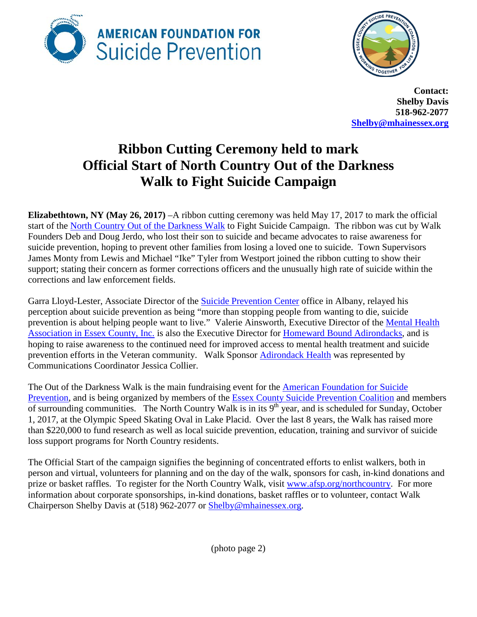



**Contact: Shelby Davis 518-962-2077 [Shelby@mhainessex.org](mailto:Shelby@mhainessex.org)**

## **Ribbon Cutting Ceremony held to mark Official Start of North Country Out of the Darkness Walk to Fight Suicide Campaign**

**Elizabethtown, NY (May 26, 2017)** –A ribbon cutting ceremony was held May 17, 2017 to mark the official start of the [North Country Out of the Darkness Walk](http://www.afsp.org/northcountry) to Fight Suicide Campaign. The ribbon was cut by Walk Founders Deb and Doug Jerdo, who lost their son to suicide and became advocates to raise awareness for suicide prevention, hoping to prevent other families from losing a loved one to suicide. Town Supervisors James Monty from Lewis and Michael "Ike" Tyler from Westport joined the ribbon cutting to show their support; stating their concern as former corrections officers and the unusually high rate of suicide within the corrections and law enforcement fields.

Garra Lloyd-Lester, Associate Director of the [Suicide Prevention Center](http://www.preventsuicideny.org/) office in Albany, relayed his perception about suicide prevention as being "more than stopping people from wanting to die, suicide prevention is about helping people want to live." Valerie Ainsworth, Executive Director of the [Mental Health](http://www.mhainessex.com/)  [Association in Essex County, Inc.](http://www.mhainessex.com/) is also the Executive Director for [Homeward Bound Adirondacks,](http://www.homewardboundadirondacks.org/) and is hoping to raise awareness to the continued need for improved access to mental health treatment and suicide prevention efforts in the Veteran community. Walk Sponsor [Adirondack Health](http://adirondackhealth.org/) was represented by Communications Coordinator Jessica Collier.

The Out of the Darkness Walk is the main fundraising event for the [American Foundation for Suicide](http://www.afsp.org/)  [Prevention,](http://www.afsp.org/) and is being organized by members of the [Essex County Suicide Prevention Coalition](https://www.co.essex.ny.us/wp/essex-county-suicide-prevention-coalition/) and members of surrounding communities. The North Country Walk is in its  $9<sup>th</sup>$  year, and is scheduled for Sunday, October 1, 2017, at the Olympic Speed Skating Oval in Lake Placid. Over the last 8 years, the Walk has raised more than \$220,000 to fund research as well as local suicide prevention, education, training and survivor of suicide loss support programs for North Country residents.

The Official Start of the campaign signifies the beginning of concentrated efforts to enlist walkers, both in person and virtual, volunteers for planning and on the day of the walk, sponsors for cash, in-kind donations and prize or basket raffles. To register for the North Country Walk, visit [www.afsp.org/northcountry.](http://www.afsp.org/northcountry) For more information about corporate sponsorships, in-kind donations, basket raffles or to volunteer, contact Walk Chairperson Shelby Davis at (518) 962-2077 or [Shelby@mhainessex.org.](mailto:Shelby@mhainessex.org)